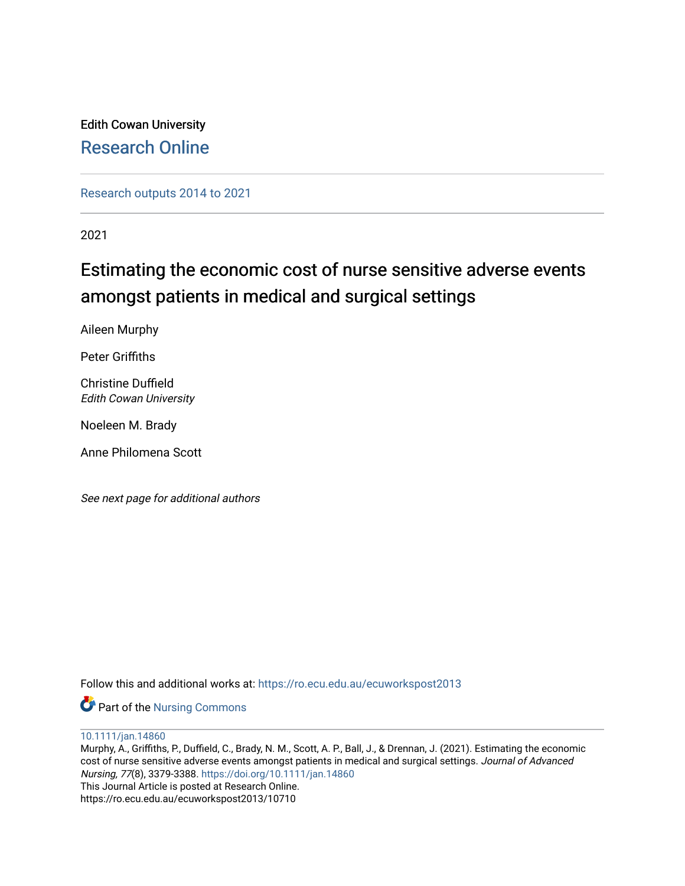Edith Cowan University [Research Online](https://ro.ecu.edu.au/) 

[Research outputs 2014 to 2021](https://ro.ecu.edu.au/ecuworkspost2013) 

2021

# Estimating the economic cost of nurse sensitive adverse events amongst patients in medical and surgical settings

Aileen Murphy

Peter Griffiths

Christine Duffield Edith Cowan University

Noeleen M. Brady

Anne Philomena Scott

See next page for additional authors

Follow this and additional works at: [https://ro.ecu.edu.au/ecuworkspost2013](https://ro.ecu.edu.au/ecuworkspost2013?utm_source=ro.ecu.edu.au%2Fecuworkspost2013%2F10710&utm_medium=PDF&utm_campaign=PDFCoverPages) 

Part of the [Nursing Commons](http://network.bepress.com/hgg/discipline/718?utm_source=ro.ecu.edu.au%2Fecuworkspost2013%2F10710&utm_medium=PDF&utm_campaign=PDFCoverPages) 

[10.1111/jan.14860](http://dx.doi.org/10.1111/jan.14860) 

Murphy, A., Griffiths, P., Duffield, C., Brady, N. M., Scott, A. P., Ball, J., & Drennan, J. (2021). Estimating the economic cost of nurse sensitive adverse events amongst patients in medical and surgical settings. Journal of Advanced Nursing, 77(8), 3379-3388.<https://doi.org/10.1111/jan.14860> This Journal Article is posted at Research Online. https://ro.ecu.edu.au/ecuworkspost2013/10710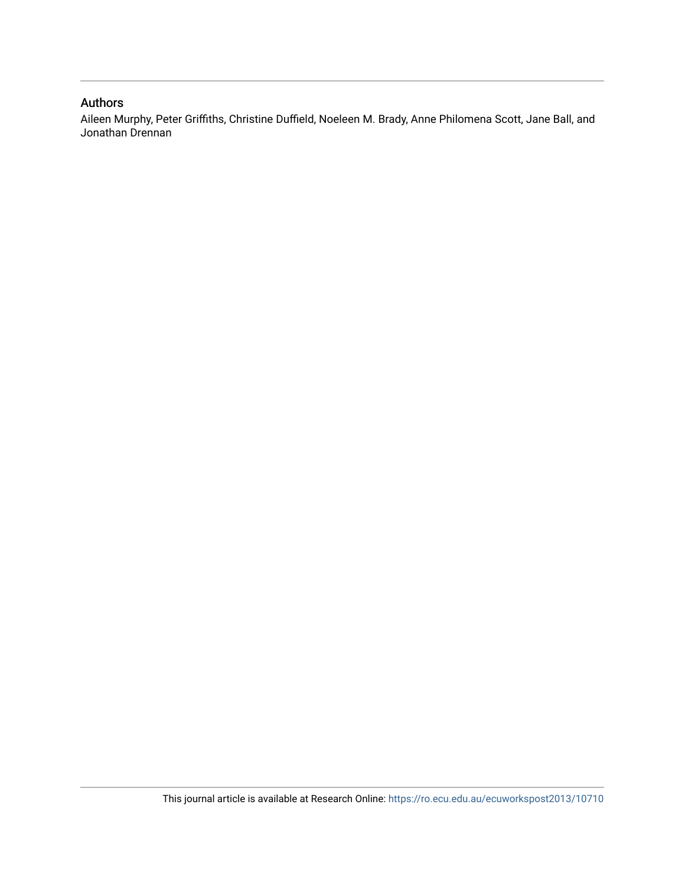# Authors

Aileen Murphy, Peter Griffiths, Christine Duffield, Noeleen M. Brady, Anne Philomena Scott, Jane Ball, and Jonathan Drennan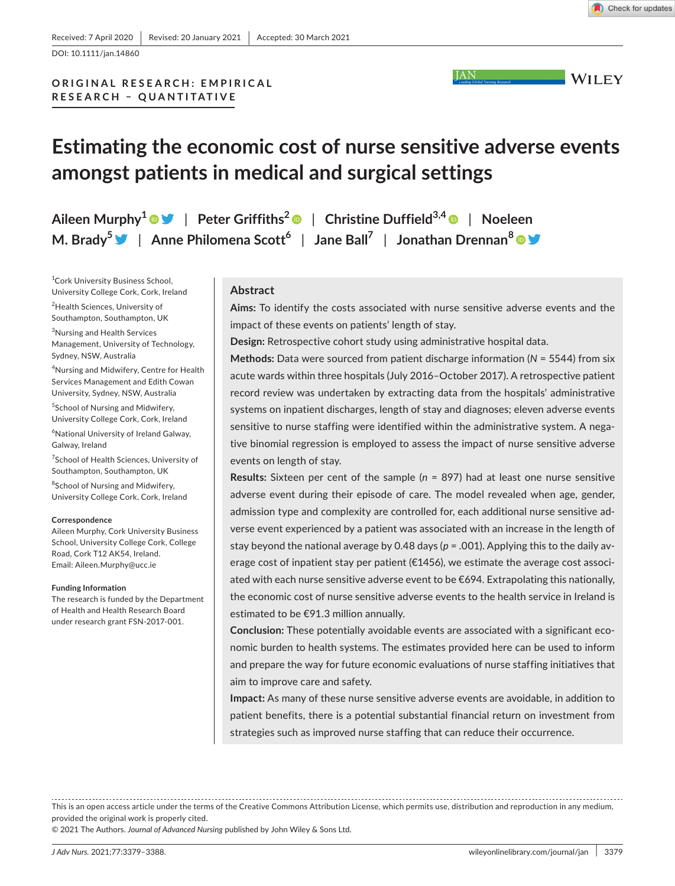

DOI: 10.1111/jan.14860

# **ORIGINAL RESEARCH: EMPIRICAL RESEARCH – QUANTITATIVE**

# **Estimating the economic cost of nurse sensitive adverse events amongst patients in medical and surgical settings**

**Aileen Murphy1** | **Peter Griffiths2** | **Christine Duffield3,4** | **Noeleen M. Brady[5](https://twitter.com/NoeleenMBrady)** | **Anne Philomena Scott6** | **Jane Ball7** | **Jonathan Drennan[8](https://orcid.org/0000-0001-7365-4345)**

1 Cork University Business School, University College Cork, Cork, Ireland

<sup>2</sup>Health Sciences, University of Southampton, Southampton, UK

3 Nursing and Health Services Management, University of Technology, Sydney, NSW, Australia

4 Nursing and Midwifery, Centre for Health Services Management and Edith Cowan University, Sydney, NSW, Australia 5 School of Nursing and Midwifery, University College Cork, Cork, Ireland

6 National University of Ireland Galway, Galway, Ireland

<sup>7</sup>School of Health Sciences, University of Southampton, Southampton, UK

<sup>8</sup>School of Nursing and Midwifery, University College Cork, Cork, Ireland

#### **Correspondence**

Aileen Murphy, Cork University Business School, University College Cork, College Road, Cork T12 AK54, Ireland. Email: [Aileen.Murphy@ucc.ie](mailto:Aileen.Murphy@ucc.ie)

#### **Funding Information**

The research is funded by the Department of Health and Health Research Board under research grant FSN-2017-001.

## **Abstract**

**Aims:** To identify the costs associated with nurse sensitive adverse events and the impact of these events on patients' length of stay.

**Design:** Retrospective cohort study using administrative hospital data.

**Methods:** Data were sourced from patient discharge information (*N* = 5544) from six acute wards within three hospitals (July 2016–October 2017). A retrospective patient record review was undertaken by extracting data from the hospitals' administrative systems on inpatient discharges, length of stay and diagnoses; eleven adverse events sensitive to nurse staffing were identified within the administrative system. A negative binomial regression is employed to assess the impact of nurse sensitive adverse events on length of stay.

**Results:** Sixteen per cent of the sample (*n* = 897) had at least one nurse sensitive adverse event during their episode of care. The model revealed when age, gender, admission type and complexity are controlled for, each additional nurse sensitive adverse event experienced by a patient was associated with an increase in the length of stay beyond the national average by 0.48 days (*p* = .001). Applying this to the daily average cost of inpatient stay per patient (€1456), we estimate the average cost associated with each nurse sensitive adverse event to be  $\epsilon$ 694. Extrapolating this nationally, the economic cost of nurse sensitive adverse events to the health service in Ireland is estimated to be €91.3 million annually.

**Conclusion:** These potentially avoidable events are associated with a significant economic burden to health systems. The estimates provided here can be used to inform and prepare the way for future economic evaluations of nurse staffing initiatives that aim to improve care and safety.

**Impact:** As many of these nurse sensitive adverse events are avoidable, in addition to patient benefits, there is a potential substantial financial return on investment from strategies such as improved nurse staffing that can reduce their occurrence.

This is an open access article under the terms of the [Creative Commons Attribution](http://creativecommons.org/licenses/by/4.0/) License, which permits use, distribution and reproduction in any medium, provided the original work is properly cited.

© 2021 The Authors. *Journal of Advanced Nursing* published by John Wiley & Sons Ltd.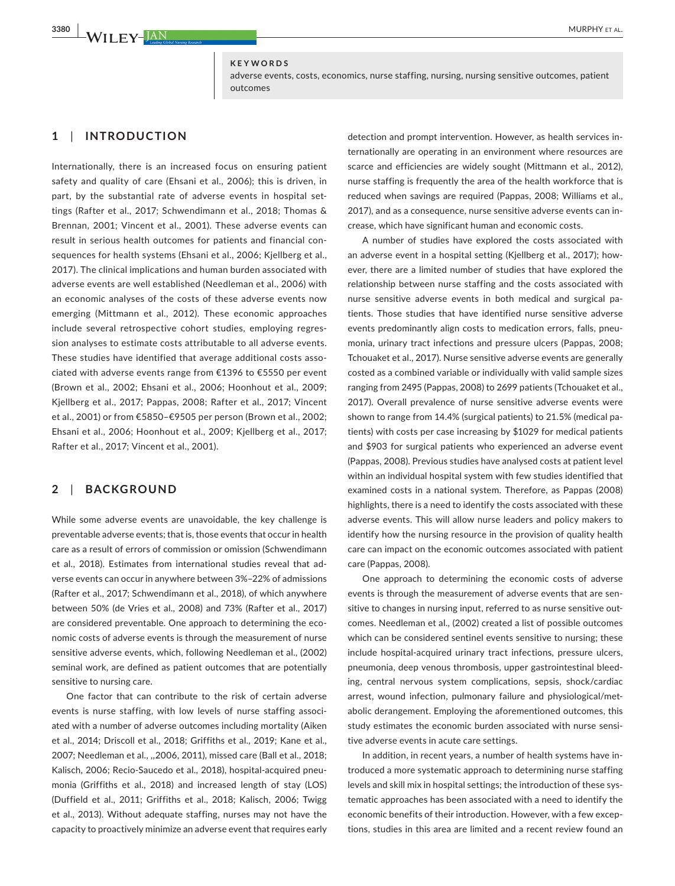## **KEYWORDS**

adverse events, costs, economics, nurse staffing, nursing, nursing sensitive outcomes, patient outcomes

# **1**  | **INTRODUCTION**

Internationally, there is an increased focus on ensuring patient safety and quality of care (Ehsani et al., 2006); this is driven, in part, by the substantial rate of adverse events in hospital settings (Rafter et al., 2017; Schwendimann et al., 2018; Thomas & Brennan, 2001; Vincent et al., 2001). These adverse events can result in serious health outcomes for patients and financial consequences for health systems (Ehsani et al., 2006; Kjellberg et al., 2017). The clinical implications and human burden associated with adverse events are well established (Needleman et al., 2006) with an economic analyses of the costs of these adverse events now emerging (Mittmann et al., 2012). These economic approaches include several retrospective cohort studies, employing regression analyses to estimate costs attributable to all adverse events. These studies have identified that average additional costs associated with adverse events range from €1396 to €5550 per event (Brown et al., 2002; Ehsani et al., 2006; Hoonhout et al., 2009; Kjellberg et al., 2017; Pappas, 2008; Rafter et al., 2017; Vincent et al., 2001) or from €5850–€9505 per person (Brown et al., 2002; Ehsani et al., 2006; Hoonhout et al., 2009; Kjellberg et al., 2017; Rafter et al., 2017; Vincent et al., 2001).

# **2**  | **BACKGROUND**

While some adverse events are unavoidable, the key challenge is preventable adverse events; that is, those events that occur in health care as a result of errors of commission or omission (Schwendimann et al., 2018). Estimates from international studies reveal that adverse events can occur in anywhere between 3%–22% of admissions (Rafter et al., 2017; Schwendimann et al., 2018), of which anywhere between 50% (de Vries et al., 2008) and 73% (Rafter et al., 2017) are considered preventable. One approach to determining the economic costs of adverse events is through the measurement of nurse sensitive adverse events, which, following Needleman et al., (2002) seminal work, are defined as patient outcomes that are potentially sensitive to nursing care.

One factor that can contribute to the risk of certain adverse events is nurse staffing, with low levels of nurse staffing associated with a number of adverse outcomes including mortality (Aiken et al., 2014; Driscoll et al., 2018; Griffiths et al., 2019; Kane et al., 2007; Needleman et al., ,,2006, 2011), missed care (Ball et al., 2018; Kalisch, 2006; Recio-Saucedo et al., 2018), hospital-acquired pneumonia (Griffiths et al., 2018) and increased length of stay (LOS) (Duffield et al., 2011; Griffiths et al., 2018; Kalisch, 2006; Twigg et al., 2013). Without adequate staffing, nurses may not have the capacity to proactively minimize an adverse event that requires early detection and prompt intervention. However, as health services internationally are operating in an environment where resources are scarce and efficiencies are widely sought (Mittmann et al., 2012), nurse staffing is frequently the area of the health workforce that is reduced when savings are required (Pappas, 2008; Williams et al., 2017), and as a consequence, nurse sensitive adverse events can increase, which have significant human and economic costs.

A number of studies have explored the costs associated with an adverse event in a hospital setting (Kjellberg et al., 2017); however, there are a limited number of studies that have explored the relationship between nurse staffing and the costs associated with nurse sensitive adverse events in both medical and surgical patients. Those studies that have identified nurse sensitive adverse events predominantly align costs to medication errors, falls, pneumonia, urinary tract infections and pressure ulcers (Pappas, 2008; Tchouaket et al., 2017). Nurse sensitive adverse events are generally costed as a combined variable or individually with valid sample sizes ranging from 2495 (Pappas, 2008) to 2699 patients (Tchouaket et al., 2017). Overall prevalence of nurse sensitive adverse events were shown to range from 14.4% (surgical patients) to 21.5% (medical patients) with costs per case increasing by \$1029 for medical patients and \$903 for surgical patients who experienced an adverse event (Pappas, 2008). Previous studies have analysed costs at patient level within an individual hospital system with few studies identified that examined costs in a national system. Therefore, as Pappas (2008) highlights, there is a need to identify the costs associated with these adverse events. This will allow nurse leaders and policy makers to identify how the nursing resource in the provision of quality health care can impact on the economic outcomes associated with patient care (Pappas, 2008).

One approach to determining the economic costs of adverse events is through the measurement of adverse events that are sensitive to changes in nursing input, referred to as nurse sensitive outcomes. Needleman et al., (2002) created a list of possible outcomes which can be considered sentinel events sensitive to nursing; these include hospital-acquired urinary tract infections, pressure ulcers, pneumonia, deep venous thrombosis, upper gastrointestinal bleeding, central nervous system complications, sepsis, shock/cardiac arrest, wound infection, pulmonary failure and physiological/metabolic derangement. Employing the aforementioned outcomes, this study estimates the economic burden associated with nurse sensitive adverse events in acute care settings.

In addition, in recent years, a number of health systems have introduced a more systematic approach to determining nurse staffing levels and skill mix in hospital settings; the introduction of these systematic approaches has been associated with a need to identify the economic benefits of their introduction. However, with a few exceptions, studies in this area are limited and a recent review found an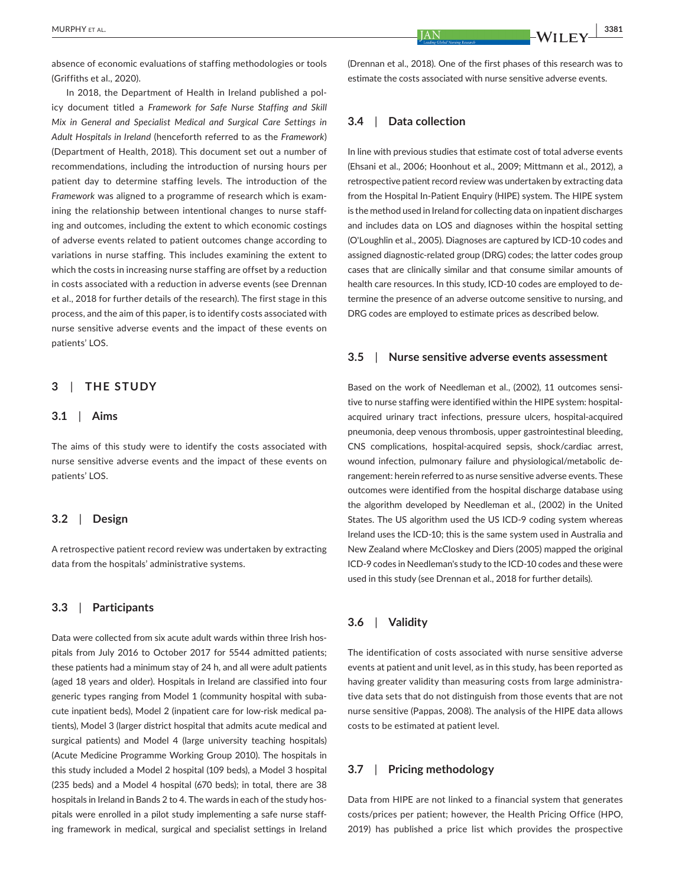absence of economic evaluations of staffing methodologies or tools (Griffiths et al., 2020).

In 2018, the Department of Health in Ireland published a policy document titled a *Framework for Safe Nurse Staffing and Skill Mix in General and Specialist Medical and Surgical Care Settings in Adult Hospitals in Ireland* (henceforth referred to as the *Framework*) (Department of Health, 2018). This document set out a number of recommendations, including the introduction of nursing hours per patient day to determine staffing levels. The introduction of the *Framework* was aligned to a programme of research which is examining the relationship between intentional changes to nurse staffing and outcomes, including the extent to which economic costings of adverse events related to patient outcomes change according to variations in nurse staffing. This includes examining the extent to which the costs in increasing nurse staffing are offset by a reduction in costs associated with a reduction in adverse events (see Drennan et al., 2018 for further details of the research). The first stage in this process, and the aim of this paper, is to identify costs associated with nurse sensitive adverse events and the impact of these events on patients' LOS.

# **3**  | **THE STUDY**

## **3.1**  | **Aims**

The aims of this study were to identify the costs associated with nurse sensitive adverse events and the impact of these events on patients' LOS.

## **3.2**  | **Design**

A retrospective patient record review was undertaken by extracting data from the hospitals' administrative systems.

## **3.3**  | **Participants**

Data were collected from six acute adult wards within three Irish hospitals from July 2016 to October 2017 for 5544 admitted patients; these patients had a minimum stay of 24 h, and all were adult patients (aged 18 years and older). Hospitals in Ireland are classified into four generic types ranging from Model 1 (community hospital with subacute inpatient beds), Model 2 (inpatient care for low-risk medical patients), Model 3 (larger district hospital that admits acute medical and surgical patients) and Model 4 (large university teaching hospitals) (Acute Medicine Programme Working Group 2010). The hospitals in this study included a Model 2 hospital (109 beds), a Model 3 hospital (235 beds) and a Model 4 hospital (670 beds); in total, there are 38 hospitals in Ireland in Bands 2 to 4. The wards in each of the study hospitals were enrolled in a pilot study implementing a safe nurse staffing framework in medical, surgical and specialist settings in Ireland

(Drennan et al., 2018). One of the first phases of this research was to estimate the costs associated with nurse sensitive adverse events.

## **3.4**  | **Data collection**

In line with previous studies that estimate cost of total adverse events (Ehsani et al., 2006; Hoonhout et al., 2009; Mittmann et al., 2012), a retrospective patient record review was undertaken by extracting data from the Hospital In-Patient Enquiry (HIPE) system. The HIPE system is the method used in Ireland for collecting data on inpatient discharges and includes data on LOS and diagnoses within the hospital setting (O'Loughlin et al., 2005). Diagnoses are captured by ICD-10 codes and assigned diagnostic-related group (DRG) codes; the latter codes group cases that are clinically similar and that consume similar amounts of health care resources. In this study, ICD-10 codes are employed to determine the presence of an adverse outcome sensitive to nursing, and DRG codes are employed to estimate prices as described below.

# **3.5**  | **Nurse sensitive adverse events assessment**

Based on the work of Needleman et al., (2002), 11 outcomes sensitive to nurse staffing were identified within the HIPE system: hospitalacquired urinary tract infections, pressure ulcers, hospital-acquired pneumonia, deep venous thrombosis, upper gastrointestinal bleeding, CNS complications, hospital-acquired sepsis, shock/cardiac arrest, wound infection, pulmonary failure and physiological/metabolic derangement: herein referred to as nurse sensitive adverse events. These outcomes were identified from the hospital discharge database using the algorithm developed by Needleman et al., (2002) in the United States. The US algorithm used the US ICD-9 coding system whereas Ireland uses the ICD-10; this is the same system used in Australia and New Zealand where McCloskey and Diers (2005) mapped the original ICD-9 codes in Needleman's study to the ICD-10 codes and these were used in this study (see Drennan et al., 2018 for further details).

# **3.6**  | **Validity**

The identification of costs associated with nurse sensitive adverse events at patient and unit level, as in this study, has been reported as having greater validity than measuring costs from large administrative data sets that do not distinguish from those events that are not nurse sensitive (Pappas, 2008). The analysis of the HIPE data allows costs to be estimated at patient level.

# **3.7**  | **Pricing methodology**

Data from HIPE are not linked to a financial system that generates costs/prices per patient; however, the Health Pricing Office (HPO, 2019) has published a price list which provides the prospective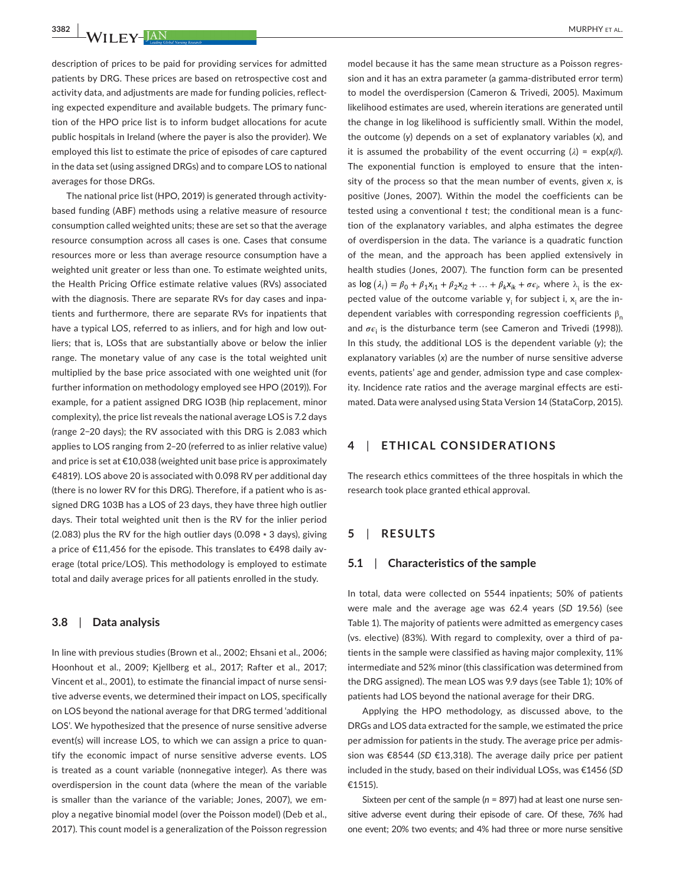description of prices to be paid for providing services for admitted patients by DRG. These prices are based on retrospective cost and activity data, and adjustments are made for funding policies, reflecting expected expenditure and available budgets. The primary function of the HPO price list is to inform budget allocations for acute public hospitals in Ireland (where the payer is also the provider). We employed this list to estimate the price of episodes of care captured in the data set (using assigned DRGs) and to compare LOS to national averages for those DRGs.

The national price list (HPO, 2019) is generated through activitybased funding (ABF) methods using a relative measure of resource consumption called weighted units; these are set so that the average resource consumption across all cases is one. Cases that consume resources more or less than average resource consumption have a weighted unit greater or less than one. To estimate weighted units, the Health Pricing Office estimate relative values (RVs) associated with the diagnosis. There are separate RVs for day cases and inpatients and furthermore, there are separate RVs for inpatients that have a typical LOS, referred to as inliers, and for high and low outliers; that is, LOSs that are substantially above or below the inlier range. The monetary value of any case is the total weighted unit multiplied by the base price associated with one weighted unit (for further information on methodology employed see HPO (2019)). For example, for a patient assigned DRG IO3B (hip replacement, minor complexity), the price list reveals the national average LOS is 7.2 days (range 2−20 days); the RV associated with this DRG is 2.083 which applies to LOS ranging from 2–20 (referred to as inlier relative value) and price is set at €10,038 (weighted unit base price is approximately €4819). LOS above 20 is associated with 0.098 RV per additional day (there is no lower RV for this DRG). Therefore, if a patient who is assigned DRG 103B has a LOS of 23 days, they have three high outlier days. Their total weighted unit then is the RV for the inlier period (2.083) plus the RV for the high outlier days (0.098 ∗ 3 days), giving a price of €11,456 for the episode. This translates to €498 daily average (total price/LOS). This methodology is employed to estimate total and daily average prices for all patients enrolled in the study.

## **3.8**  | **Data analysis**

In line with previous studies (Brown et al., 2002; Ehsani et al., 2006; Hoonhout et al., 2009; Kjellberg et al., 2017; Rafter et al., 2017; Vincent et al., 2001), to estimate the financial impact of nurse sensitive adverse events, we determined their impact on LOS, specifically on LOS beyond the national average for that DRG termed 'additional LOS'. We hypothesized that the presence of nurse sensitive adverse event(s) will increase LOS, to which we can assign a price to quantify the economic impact of nurse sensitive adverse events. LOS is treated as a count variable (nonnegative integer). As there was overdispersion in the count data (where the mean of the variable is smaller than the variance of the variable; Jones, 2007), we employ a negative binomial model (over the Poisson model) (Deb et al., 2017). This count model is a generalization of the Poisson regression

model because it has the same mean structure as a Poisson regression and it has an extra parameter (a gamma-distributed error term) to model the overdispersion (Cameron & Trivedi, 2005). Maximum likelihood estimates are used, wherein iterations are generated until the change in log likelihood is sufficiently small. Within the model, the outcome (*y*) depends on a set of explanatory variables (*x*), and it is assumed the probability of the event occurring (*λ*) = exp(*xβ*). The exponential function is employed to ensure that the intensity of the process so that the mean number of events, given *x*, is positive (Jones, 2007). Within the model the coefficients can be tested using a conventional *t* test; the conditional mean is a function of the explanatory variables, and alpha estimates the degree of overdispersion in the data. The variance is a quadratic function of the mean, and the approach has been applied extensively in health studies (Jones, 2007). The function form can be presented as  $\log(\lambda_i) = \beta_0 + \beta_1 x_{i1} + \beta_2 x_{i2} + \ldots + \beta_k x_{ik} + \sigma \epsilon_i$ , where  $\lambda_i$  is the expected value of the outcome variable  $\bm{{\mathsf{y}}}_{\mathsf{i}}$  for subject i,  $\bm{{\mathsf{x}}}_{\mathsf{i}}$  are the independent variables with corresponding regression coefficients  $\beta_n$ and  $\sigma \epsilon_{\rm i}$  is the disturbance term (see Cameron and Trivedi (1998)). In this study, the additional LOS is the dependent variable (*y*); the explanatory variables (*x*) are the number of nurse sensitive adverse events, patients' age and gender, admission type and case complexity. Incidence rate ratios and the average marginal effects are estimated. Data were analysed using Stata Version 14 (StataCorp, 2015).

# **4**  | **ETHICAL CONSIDERATIONS**

The research ethics committees of the three hospitals in which the research took place granted ethical approval.

## **5**  | **RESULTS**

## **5.1**  | **Characteristics of the sample**

In total, data were collected on 5544 inpatients; 50% of patients were male and the average age was 62.4 years (*SD* 19.56) (see Table 1). The majority of patients were admitted as emergency cases (vs. elective) (83%). With regard to complexity, over a third of patients in the sample were classified as having major complexity, 11% intermediate and 52% minor (this classification was determined from the DRG assigned). The mean LOS was 9.9 days (see Table 1); 10% of patients had LOS beyond the national average for their DRG.

Applying the HPO methodology, as discussed above, to the DRGs and LOS data extracted for the sample, we estimated the price per admission for patients in the study. The average price per admission was €8544 (*SD* €13,318). The average daily price per patient included in the study, based on their individual LOSs, was €1456 (*SD* €1515).

Sixteen per cent of the sample (*n* = 897) had at least one nurse sensitive adverse event during their episode of care. Of these, 76% had one event; 20% two events; and 4% had three or more nurse sensitive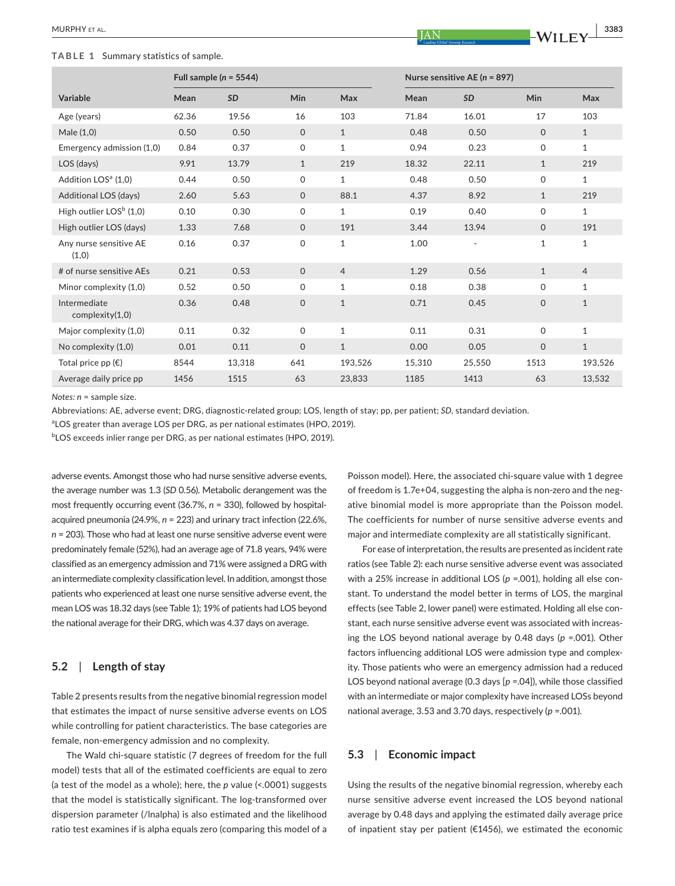#### **TABLE 1** Summary statistics of sample.

| Variable                        | Mean  | <b>SD</b> | Min          | Max            | Mean   | <b>SD</b> | Min          | Max            |
|---------------------------------|-------|-----------|--------------|----------------|--------|-----------|--------------|----------------|
| Age (years)                     | 62.36 | 19.56     | 16           | 103            | 71.84  | 16.01     | 17           | 103            |
| Male (1,0)                      | 0.50  | 0.50      | $\mathbf{0}$ | $\mathbf{1}$   | 0.48   | 0.50      | $\mathbf{O}$ | $\mathbf{1}$   |
| Emergency admission (1,0)       | 0.84  | 0.37      | $\mathsf{O}$ | $\mathbf{1}$   | 0.94   | 0.23      | 0            | $\mathbf{1}$   |
| LOS (days)                      | 9.91  | 13.79     | $\mathbf{1}$ | 219            | 18.32  | 22.11     | $\mathbf{1}$ | 219            |
| Addition LOS <sup>a</sup> (1,0) | 0.44  | 0.50      | $\mathsf{O}$ | 1              | 0.48   | 0.50      | 0            | $\mathbf{1}$   |
| Additional LOS (days)           | 2.60  | 5.63      | $\mathsf{O}$ | 88.1           | 4.37   | 8.92      | $\mathbf{1}$ | 219            |
| High outlier $LOSb (1,0)$       | 0.10  | 0.30      | $\mathbf 0$  | 1              | 0.19   | 0.40      | 0            | $\mathbf{1}$   |
| High outlier LOS (days)         | 1.33  | 7.68      | $\mathbf{0}$ | 191            | 3.44   | 13.94     | $\mathbf{O}$ | 191            |
| Any nurse sensitive AE<br>(1,0) | 0.16  | 0.37      | 0            | 1              | 1.00   |           | $\mathbf{1}$ | $\mathbf{1}$   |
| # of nurse sensitive AEs        | 0.21  | 0.53      | $\mathbf{0}$ | $\overline{4}$ | 1.29   | 0.56      | $\mathbf{1}$ | $\overline{4}$ |
| Minor complexity (1,0)          | 0.52  | 0.50      | $\mathbf 0$  | $\mathbf{1}$   | 0.18   | 0.38      | 0            | $\mathbf{1}$   |
| Intermediate<br>complexity(1,0) | 0.36  | 0.48      | $\mathbf 0$  | $\mathbf{1}$   | 0.71   | 0.45      | $\mathbf 0$  | $\mathbf{1}$   |
| Major complexity (1,0)          | 0.11  | 0.32      | $\mathsf{O}$ | $\mathbf{1}$   | 0.11   | 0.31      | 0            | $\mathbf{1}$   |
| No complexity (1,0)             | 0.01  | 0.11      | $\mathsf{O}$ | $\mathbf{1}$   | 0.00   | 0.05      | $\mathbf 0$  | $\mathbf{1}$   |
| Total price pp $(\epsilon)$     | 8544  | 13,318    | 641          | 193,526        | 15,310 | 25,550    | 1513         | 193,526        |
| Average daily price pp          | 1456  | 1515      | 63           | 23,833         | 1185   | 1413      | 63           | 13,532         |
|                                 |       |           |              |                |        |           |              |                |

*Notes: n* = sample size.

Abbreviations: AE, adverse event; DRG, diagnostic-related group; LOS, length of stay; pp, per patient; *SD*, standard deviation.

<sup>a</sup>LOS greater than average LOS per DRG, as per national estimates (HPO, 2019).

 $^{\rm b}$ LOS exceeds inlier range per DRG, as per national estimates (HPO, 2019).

adverse events. Amongst those who had nurse sensitive adverse events, the average number was 1.3 (*SD* 0.56). Metabolic derangement was the most frequently occurring event (36.7%, *n* = 330), followed by hospitalacquired pneumonia (24.9%, *n* = 223) and urinary tract infection (22.6%, *n* = 203). Those who had at least one nurse sensitive adverse event were predominately female (52%), had an average age of 71.8 years, 94% were classified as an emergency admission and 71% were assigned a DRG with an intermediate complexity classification level. In addition, amongst those patients who experienced at least one nurse sensitive adverse event, the mean LOS was 18.32 days (see Table 1); 19% of patients had LOS beyond the national average for their DRG, which was 4.37 days on average.

# **5.2**  | **Length of stay**

Table 2 presents results from the negative binomial regression model that estimates the impact of nurse sensitive adverse events on LOS while controlling for patient characteristics. The base categories are female, non-emergency admission and no complexity.

The Wald chi-square statistic (7 degrees of freedom for the full model) tests that all of the estimated coefficients are equal to zero (a test of the model as a whole); here, the *p* value (<.0001) suggests that the model is statistically significant. The log-transformed over dispersion parameter (/lnalpha) is also estimated and the likelihood ratio test examines if is alpha equals zero (comparing this model of a

Poisson model). Here, the associated chi-square value with 1 degree of freedom is 1.7e+04, suggesting the alpha is non-zero and the negative binomial model is more appropriate than the Poisson model. The coefficients for number of nurse sensitive adverse events and major and intermediate complexity are all statistically significant.

For ease of interpretation, the results are presented as incident rate ratios (see Table 2): each nurse sensitive adverse event was associated with a 25% increase in additional LOS ( $p = 0.001$ ), holding all else constant. To understand the model better in terms of LOS, the marginal effects (see Table 2, lower panel) were estimated. Holding all else constant, each nurse sensitive adverse event was associated with increasing the LOS beyond national average by 0.48 days (*p* =.001). Other factors influencing additional LOS were admission type and complexity. Those patients who were an emergency admission had a reduced LOS beyond national average (0.3 days [*p* =.04]), while those classified with an intermediate or major complexity have increased LOSs beyond national average, 3.53 and 3.70 days, respectively (*p* =.001).

# **5.3**  | **Economic impact**

Using the results of the negative binomial regression, whereby each nurse sensitive adverse event increased the LOS beyond national average by 0.48 days and applying the estimated daily average price of inpatient stay per patient (€1456), we estimated the economic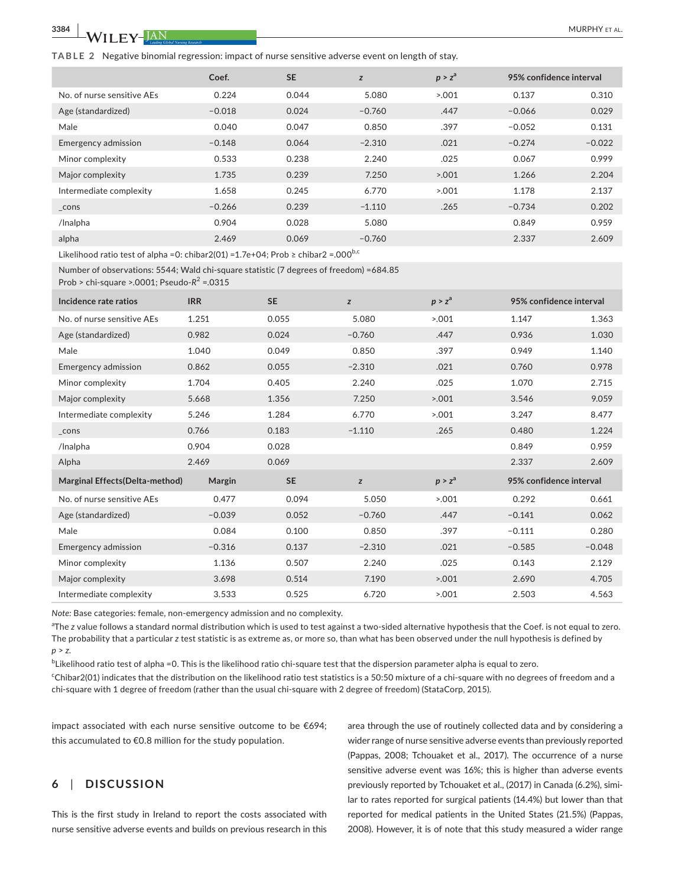**3384 <sup>|</sup>**  MURPHY et al.

**TABLE 2** Negative binomial regression: impact of nurse sensitive adverse event on length of stay.

|                            | Coef.    | <b>SE</b> | z        | p > z <sup>a</sup> | 95% confidence interval |          |
|----------------------------|----------|-----------|----------|--------------------|-------------------------|----------|
| No. of nurse sensitive AEs | 0.224    | 0.044     | 5.080    | >0.001             | 0.137                   | 0.310    |
| Age (standardized)         | $-0.018$ | 0.024     | $-0.760$ | .447               | $-0.066$                | 0.029    |
| Male                       | 0.040    | 0.047     | 0.850    | .397               | $-0.052$                | 0.131    |
| Emergency admission        | $-0.148$ | 0.064     | $-2.310$ | .021               | $-0.274$                | $-0.022$ |
| Minor complexity           | 0.533    | 0.238     | 2.240    | .025               | 0.067                   | 0.999    |
| Major complexity           | 1.735    | 0.239     | 7.250    | 5.001              | 1.266                   | 2.204    |
| Intermediate complexity    | 1.658    | 0.245     | 6.770    | 5.001              | 1.178                   | 2.137    |
| $\_cons$                   | $-0.266$ | 0.239     | $-1.110$ | .265               | $-0.734$                | 0.202    |
| /Inalpha                   | 0.904    | 0.028     | 5.080    |                    | 0.849                   | 0.959    |
| alpha                      | 2.469    | 0.069     | $-0.760$ |                    | 2.337                   | 2.609    |

Likelihood ratio test of alpha =0: chibar2(01) =1.7e+04; Prob ≥ chibar2 =.000<sup>b,c</sup>

Number of observations: 5544; Wald chi-square statistic (7 degrees of freedom) =684.85

Prob > chi-square >.0001; Pseudo-*R*<sup>2</sup> =.0315

| Incidence rate ratios           | <b>IRR</b> | <b>SE</b> | $\boldsymbol{z}$ | p > z <sup>a</sup> |          | 95% confidence interval |  |
|---------------------------------|------------|-----------|------------------|--------------------|----------|-------------------------|--|
| No. of nurse sensitive AEs      | 1.251      | 0.055     | 5.080            | > 0.001            | 1.147    | 1.363                   |  |
| Age (standardized)              | 0.982      | 0.024     | $-0.760$         | .447               | 0.936    | 1.030                   |  |
| Male                            | 1.040      | 0.049     | 0.850            | .397               | 0.949    | 1.140                   |  |
| <b>Emergency admission</b>      | 0.862      | 0.055     | $-2.310$         | .021               | 0.760    | 0.978                   |  |
| Minor complexity                | 1.704      | 0.405     | 2.240            | .025               | 1.070    | 2.715                   |  |
| Major complexity                | 5.668      | 1.356     | 7.250            | 5.001              | 3.546    | 9.059                   |  |
| Intermediate complexity         | 5.246      | 1.284     | 6.770            | 5.001              | 3.247    | 8.477                   |  |
| $_{\sim}$ cons                  | 0.766      | 0.183     | $-1.110$         | .265               | 0.480    | 1.224                   |  |
| /Inalpha                        | 0.904      | 0.028     |                  |                    | 0.849    | 0.959                   |  |
| Alpha                           | 2.469      | 0.069     |                  |                    | 2.337    | 2.609                   |  |
| Marginal Effects (Delta-method) | Margin     | <b>SE</b> | z                | p > z <sup>a</sup> |          | 95% confidence interval |  |
| No. of nurse sensitive AEs      | 0.477      | 0.094     | 5.050            | 5.001              | 0.292    | 0.661                   |  |
| Age (standardized)              | $-0.039$   | 0.052     | $-0.760$         | .447               | $-0.141$ | 0.062                   |  |
| Male                            | 0.084      | 0.100     | 0.850            | .397               | $-0.111$ | 0.280                   |  |
| <b>Emergency admission</b>      | $-0.316$   | 0.137     | $-2.310$         | .021               | $-0.585$ | $-0.048$                |  |
| Minor complexity                | 1.136      | 0.507     | 2.240            | .025               | 0.143    | 2.129                   |  |
| Major complexity                | 3.698      | 0.514     | 7.190            | 5.001              | 2.690    | 4.705                   |  |
| Intermediate complexity         | 3.533      | 0.525     | 6.720            | 5.001              | 2.503    | 4.563                   |  |

*Note:* Base categories: female, non-emergency admission and no complexity.

<sup>a</sup>The *z* value follows a standard normal distribution which is used to test against a two-sided alternative hypothesis that the Coef. is not equal to zero. The probability that a particular *z* test statistic is as extreme as, or more so, than what has been observed under the null hypothesis is defined by *p* > *z*.

 $^{\rm b}$ Likelihood ratio test of alpha =0. This is the likelihood ratio chi-square test that the dispersion parameter alpha is equal to zero. c Chibar2(01) indicates that the distribution on the likelihood ratio test statistics is a 50:50 mixture of a chi-square with no degrees of freedom and a chi-square with 1 degree of freedom (rather than the usual chi-square with 2 degree of freedom) (StataCorp, 2015).

impact associated with each nurse sensitive outcome to be €694; this accumulated to €0.8 million for the study population.

# **6**  | **DISCUSSION**

This is the first study in Ireland to report the costs associated with nurse sensitive adverse events and builds on previous research in this

area through the use of routinely collected data and by considering a wider range of nurse sensitive adverse events than previously reported (Pappas, 2008; Tchouaket et al., 2017). The occurrence of a nurse sensitive adverse event was 16%; this is higher than adverse events previously reported by Tchouaket et al., (2017) in Canada (6.2%), similar to rates reported for surgical patients (14.4%) but lower than that reported for medical patients in the United States (21.5%) (Pappas, 2008). However, it is of note that this study measured a wider range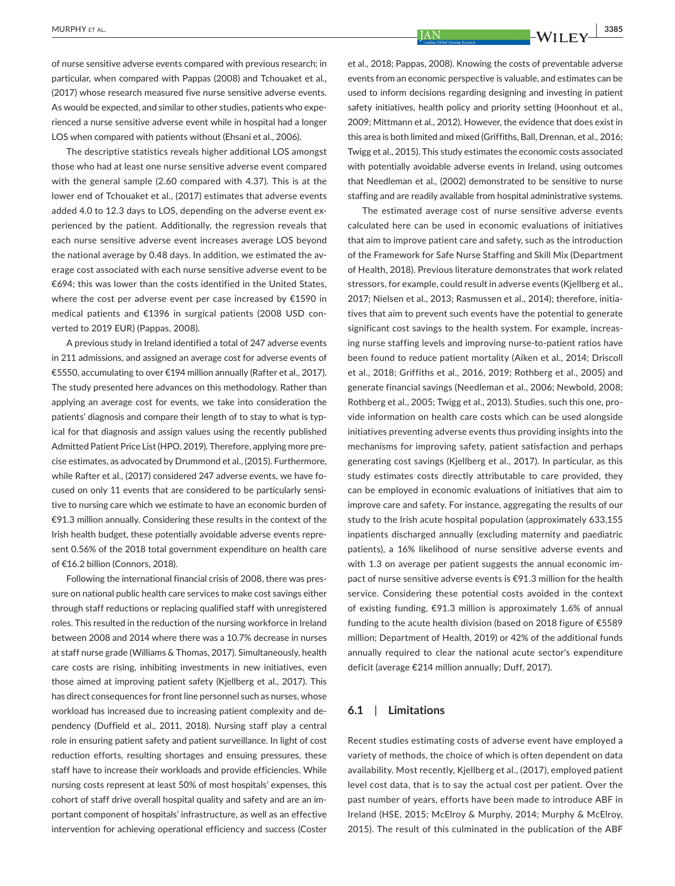of nurse sensitive adverse events compared with previous research; in particular, when compared with Pappas (2008) and Tchouaket et al., (2017) whose research measured five nurse sensitive adverse events. As would be expected, and similar to other studies, patients who experienced a nurse sensitive adverse event while in hospital had a longer LOS when compared with patients without (Ehsani et al., 2006).

The descriptive statistics reveals higher additional LOS amongst those who had at least one nurse sensitive adverse event compared with the general sample (2.60 compared with 4.37). This is at the lower end of Tchouaket et al., (2017) estimates that adverse events added 4.0 to 12.3 days to LOS, depending on the adverse event experienced by the patient. Additionally, the regression reveals that each nurse sensitive adverse event increases average LOS beyond the national average by 0.48 days. In addition, we estimated the average cost associated with each nurse sensitive adverse event to be €694; this was lower than the costs identified in the United States, where the cost per adverse event per case increased by €1590 in medical patients and €1396 in surgical patients (2008 USD converted to 2019 EUR) (Pappas, 2008).

A previous study in Ireland identified a total of 247 adverse events in 211 admissions, and assigned an average cost for adverse events of €5550, accumulating to over €194 million annually (Rafter et al., 2017). The study presented here advances on this methodology. Rather than applying an average cost for events, we take into consideration the patients' diagnosis and compare their length of to stay to what is typical for that diagnosis and assign values using the recently published Admitted Patient Price List (HPO, 2019). Therefore, applying more precise estimates, as advocated by Drummond et al., (2015). Furthermore, while Rafter et al., (2017) considered 247 adverse events, we have focused on only 11 events that are considered to be particularly sensitive to nursing care which we estimate to have an economic burden of €91.3 million annually. Considering these results in the context of the Irish health budget, these potentially avoidable adverse events represent 0.56% of the 2018 total government expenditure on health care of €16.2 billion (Connors, 2018).

Following the international financial crisis of 2008, there was pressure on national public health care services to make cost savings either through staff reductions or replacing qualified staff with unregistered roles. This resulted in the reduction of the nursing workforce in Ireland between 2008 and 2014 where there was a 10.7% decrease in nurses at staff nurse grade (Williams & Thomas, 2017). Simultaneously, health care costs are rising, inhibiting investments in new initiatives, even those aimed at improving patient safety (Kjellberg et al., 2017). This has direct consequences for front line personnel such as nurses, whose workload has increased due to increasing patient complexity and dependency (Duffield et al., 2011, 2018). Nursing staff play a central role in ensuring patient safety and patient surveillance. In light of cost reduction efforts, resulting shortages and ensuing pressures, these staff have to increase their workloads and provide efficiencies. While nursing costs represent at least 50% of most hospitals' expenses, this cohort of staff drive overall hospital quality and safety and are an important component of hospitals' infrastructure, as well as an effective intervention for achieving operational efficiency and success (Coster

et al., 2018; Pappas, 2008). Knowing the costs of preventable adverse events from an economic perspective is valuable, and estimates can be used to inform decisions regarding designing and investing in patient safety initiatives, health policy and priority setting (Hoonhout et al., 2009; Mittmann et al., 2012). However, the evidence that does exist in this area is both limited and mixed (Griffiths, Ball, Drennan, et al., 2016; Twigg et al., 2015). This study estimates the economic costs associated with potentially avoidable adverse events in Ireland, using outcomes that Needleman et al., (2002) demonstrated to be sensitive to nurse staffing and are readily available from hospital administrative systems.

The estimated average cost of nurse sensitive adverse events calculated here can be used in economic evaluations of initiatives that aim to improve patient care and safety, such as the introduction of the Framework for Safe Nurse Staffing and Skill Mix (Department of Health, 2018). Previous literature demonstrates that work related stressors, for example, could result in adverse events (Kjellberg et al., 2017; Nielsen et al., 2013; Rasmussen et al., 2014); therefore, initiatives that aim to prevent such events have the potential to generate significant cost savings to the health system. For example, increasing nurse staffing levels and improving nurse-to-patient ratios have been found to reduce patient mortality (Aiken et al., 2014; Driscoll et al., 2018; Griffiths et al., 2016, 2019; Rothberg et al., 2005) and generate financial savings (Needleman et al., 2006; Newbold, 2008; Rothberg et al., 2005; Twigg et al., 2013). Studies, such this one, provide information on health care costs which can be used alongside initiatives preventing adverse events thus providing insights into the mechanisms for improving safety, patient satisfaction and perhaps generating cost savings (Kjellberg et al., 2017). In particular, as this study estimates costs directly attributable to care provided, they can be employed in economic evaluations of initiatives that aim to improve care and safety. For instance, aggregating the results of our study to the Irish acute hospital population (approximately 633,155 inpatients discharged annually (excluding maternity and paediatric patients), a 16% likelihood of nurse sensitive adverse events and with 1.3 on average per patient suggests the annual economic impact of nurse sensitive adverse events is €91.3 million for the health service. Considering these potential costs avoided in the context of existing funding, €91.3 million is approximately 1.6% of annual funding to the acute health division (based on 2018 figure of €5589 million; Department of Health, 2019) or 42% of the additional funds annually required to clear the national acute sector's expenditure deficit (average €214 million annually; Duff, 2017).

## **6.1**  | **Limitations**

Recent studies estimating costs of adverse event have employed a variety of methods, the choice of which is often dependent on data availability. Most recently, Kjellberg et al., (2017), employed patient level cost data, that is to say the actual cost per patient. Over the past number of years, efforts have been made to introduce ABF in Ireland (HSE, 2015; McElroy & Murphy, 2014; Murphy & McElroy, 2015). The result of this culminated in the publication of the ABF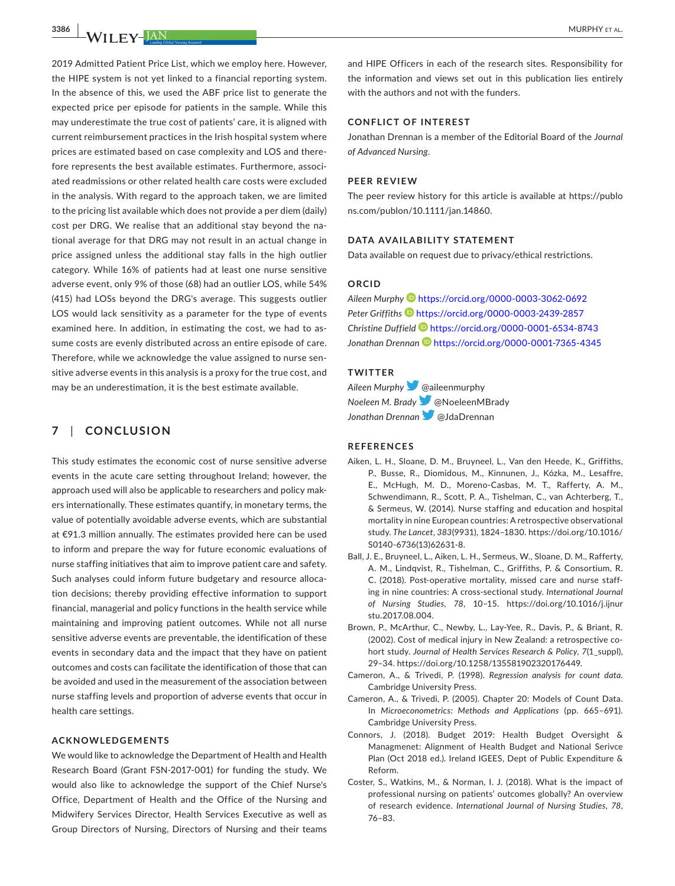2019 Admitted Patient Price List, which we employ here. However, the HIPE system is not yet linked to a financial reporting system. In the absence of this, we used the ABF price list to generate the expected price per episode for patients in the sample. While this may underestimate the true cost of patients' care, it is aligned with current reimbursement practices in the Irish hospital system where prices are estimated based on case complexity and LOS and therefore represents the best available estimates. Furthermore, associated readmissions or other related health care costs were excluded in the analysis. With regard to the approach taken, we are limited to the pricing list available which does not provide a per diem (daily) cost per DRG. We realise that an additional stay beyond the national average for that DRG may not result in an actual change in price assigned unless the additional stay falls in the high outlier category. While 16% of patients had at least one nurse sensitive adverse event, only 9% of those (68) had an outlier LOS, while 54% (415) had LOSs beyond the DRG's average. This suggests outlier LOS would lack sensitivity as a parameter for the type of events examined here. In addition, in estimating the cost, we had to assume costs are evenly distributed across an entire episode of care. Therefore, while we acknowledge the value assigned to nurse sensitive adverse events in this analysis is a proxy for the true cost, and may be an underestimation, it is the best estimate available.

# **7**  | **CONCLUSION**

This study estimates the economic cost of nurse sensitive adverse events in the acute care setting throughout Ireland; however, the approach used will also be applicable to researchers and policy makers internationally. These estimates quantify, in monetary terms, the value of potentially avoidable adverse events, which are substantial at €91.3 million annually. The estimates provided here can be used to inform and prepare the way for future economic evaluations of nurse staffing initiatives that aim to improve patient care and safety. Such analyses could inform future budgetary and resource allocation decisions; thereby providing effective information to support financial, managerial and policy functions in the health service while maintaining and improving patient outcomes. While not all nurse sensitive adverse events are preventable, the identification of these events in secondary data and the impact that they have on patient outcomes and costs can facilitate the identification of those that can be avoided and used in the measurement of the association between nurse staffing levels and proportion of adverse events that occur in health care settings.

## **ACKNOWLEDGEMENTS**

We would like to acknowledge the Department of Health and Health Research Board (Grant FSN-2017-001) for funding the study. We would also like to acknowledge the support of the Chief Nurse's Office, Department of Health and the Office of the Nursing and Midwifery Services Director, Health Services Executive as well as Group Directors of Nursing, Directors of Nursing and their teams

and HIPE Officers in each of the research sites. Responsibility for the information and views set out in this publication lies entirely with the authors and not with the funders.

## **CONFLICT OF INTEREST**

Jonathan Drennan is a member of the Editorial Board of the *Journal of Advanced Nursing*.

#### **PEER REVIEW**

The peer review history for this article is available at [https://publo](https://publons.com/publon/10.1111/jan.14860) [ns.com/publon/10.1111/jan.14860](https://publons.com/publon/10.1111/jan.14860).

## **DATA AVAILABILITY STATEMENT**

Data available on request due to privacy/ethical restrictions.

## **ORCID**

*Aileen Murphy* <https://orcid.org/0000-0003-3062-0692> *Peter Griffiths* <https://orcid.org/0000-0003-2439-2857> *Christine Duffield* <https://orcid.org/0000-0001-6534-8743> *Jonathan Drenna[n](https://orcid.org/0000-0001-7365-4345)* <https://orcid.org/0000-0001-7365-4345>

# **TWITTER**

*Aileen Murphy*@aileenmurphy *Noeleen M. Brady*@NoeleenMBrady *Jonathan Drennan* [@](https://twitter.com/JdaDrennan)JdaDrennan

## **REFERENCES**

- Aiken, L. H., Sloane, D. M., Bruyneel, L., Van den Heede, K., Griffiths, P., Busse, R., Diomidous, M., Kinnunen, J., Kózka, M., Lesaffre, E., McHugh, M. D., Moreno-Casbas, M. T., Rafferty, A. M., Schwendimann, R., Scott, P. A., Tishelman, C., van Achterberg, T., & Sermeus, W. (2014). Nurse staffing and education and hospital mortality in nine European countries: A retrospective observational study. *The Lancet*, *383*(9931), 1824–1830. [https://doi.org/10.1016/](https://doi.org/10.1016/S0140-6736(13)62631-8) [S0140-6736\(13\)62631-8.](https://doi.org/10.1016/S0140-6736(13)62631-8)
- Ball, J. E., Bruyneel, L., Aiken, L. H., Sermeus, W., Sloane, D. M., Rafferty, A. M., Lindqvist, R., Tishelman, C., Griffiths, P. & Consortium, R. C. (2018). Post-operative mortality, missed care and nurse staffing in nine countries: A cross-sectional study. *International Journal of Nursing Studies*, *78*, 10–15. [https://doi.org/10.1016/j.ijnur](https://doi.org/10.1016/j.ijnurstu.2017.08.004) [stu.2017.08.004](https://doi.org/10.1016/j.ijnurstu.2017.08.004).
- Brown, P., McArthur, C., Newby, L., Lay-Yee, R., Davis, P., & Briant, R. (2002). Cost of medical injury in New Zealand: a retrospective cohort study. *Journal of Health Services Research & Policy*, *7*(1\_suppl), 29–34. [https://doi.org/10.1258/135581902320176449.](https://doi.org/10.1258/135581902320176449)
- Cameron, A., & Trivedi, P. (1998). *Regression analysis for count data*. Cambridge University Press.
- Cameron, A., & Trivedi, P. (2005). Chapter 20: Models of Count Data. In *Microeconometrics: Methods and Applications* (pp. 665–691). Cambridge University Press.
- Connors, J. (2018). Budget 2019: Health Budget Oversight & Managmenet: Alignment of Health Budget and National Serivce Plan (Oct 2018 ed.). Ireland IGEES, Dept of Public Expenditure & Reform.
- Coster, S., Watkins, M., & Norman, I. J. (2018). What is the impact of professional nursing on patients' outcomes globally? An overview of research evidence. *International Journal of Nursing Studies*, *78*, 76–83.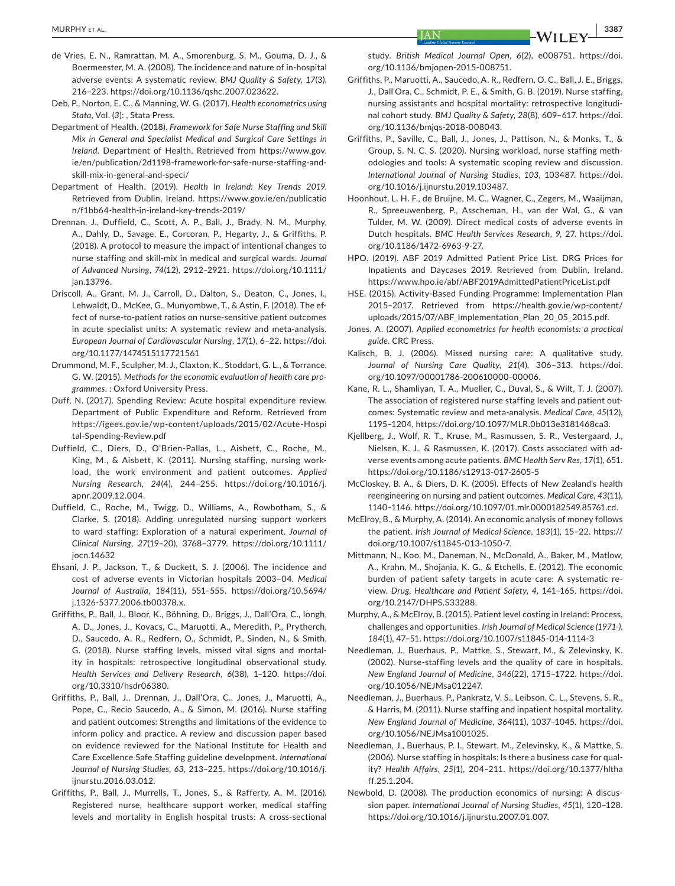- de Vries, E. N., Ramrattan, M. A., Smorenburg, S. M., Gouma, D. J., & Boermeester, M. A. (2008). The incidence and nature of in-hospital adverse events: A systematic review. *BMJ Quality & Safety*, *17*(3), 216–223. <https://doi.org/10.1136/qshc.2007.023622>.
- Deb, P., Norton, E. C., & Manning, W. G. (2017). *Health econometrics using Stata*, Vol. (*3*): , Stata Press.
- Department of Health. (2018). *Framework for Safe Nurse Staffing and Skill Mix in General and Specialist Medical and Surgical Care Settings in Ireland*. Department of Health. Retrieved from [https://www.gov.](https://www.gov.ie/en/publication/2d1198-framework-for-safe-nurse-staffing-and-skill-mix-in-general-and-speci/) [ie/en/publication/2d1198-framework-for-safe-nurse-staffing-and](https://www.gov.ie/en/publication/2d1198-framework-for-safe-nurse-staffing-and-skill-mix-in-general-and-speci/)[skill-mix-in-general-and-speci/](https://www.gov.ie/en/publication/2d1198-framework-for-safe-nurse-staffing-and-skill-mix-in-general-and-speci/)
- Department of Health. (2019). *Health In Ireland: Key Trends 2019*. Retrieved from Dublin, Ireland. [https://www.gov.ie/en/publicatio](https://www.gov.ie/en/publication/f1bb64-health-in-ireland-key-trends-2019/) [n/f1bb64-health-in-ireland-key-trends-2019/](https://www.gov.ie/en/publication/f1bb64-health-in-ireland-key-trends-2019/)
- Drennan, J., Duffield, C., Scott, A. P., Ball, J., Brady, N. M., Murphy, A., Dahly, D., Savage, E., Corcoran, P., Hegarty, J., & Griffiths, P. (2018). A protocol to measure the impact of intentional changes to nurse staffing and skill-mix in medical and surgical wards. *Journal of Advanced Nursing*, *74*(12), 2912–2921. [https://doi.org/10.1111/](https://doi.org/10.1111/jan.13796) [jan.13796](https://doi.org/10.1111/jan.13796).
- Driscoll, A., Grant, M. J., Carroll, D., Dalton, S., Deaton, C., Jones, I., Lehwaldt, D., McKee, G., Munyombwe, T., & Astin, F. (2018). The effect of nurse-to-patient ratios on nurse-sensitive patient outcomes in acute specialist units: A systematic review and meta-analysis. *European Journal of Cardiovascular Nursing*, *17*(1), 6–22. [https://doi.](https://doi.org/10.1177/1474515117721561) [org/10.1177/1474515117721561](https://doi.org/10.1177/1474515117721561)
- Drummond, M. F., Sculpher, M. J., Claxton, K., Stoddart, G. L., & Torrance, G. W. (2015). *Methods for the economic evaluation of health care programmes*. : Oxford University Press.
- Duff, N. (2017). Spending Review: Acute hospital expenditure review. Department of Public Expenditure and Reform. Retrieved from [https://igees.gov.ie/wp-content/uploads/2015/02/Acute-Hospi](https://igees.gov.ie/wp-content/uploads/2015/02/Acute-Hospital-Spending-Review.pdf) [tal-Spending-Review.pdf](https://igees.gov.ie/wp-content/uploads/2015/02/Acute-Hospital-Spending-Review.pdf)
- Duffield, C., Diers, D., O'Brien-Pallas, L., Aisbett, C., Roche, M., King, M., & Aisbett, K. (2011). Nursing staffing, nursing workload, the work environment and patient outcomes. *Applied Nursing Research*, *24*(4), 244–255. [https://doi.org/10.1016/j.](https://doi.org/10.1016/j.apnr.2009.12.004) [apnr.2009.12.004](https://doi.org/10.1016/j.apnr.2009.12.004).
- Duffield, C., Roche, M., Twigg, D., Williams, A., Rowbotham, S., & Clarke, S. (2018). Adding unregulated nursing support workers to ward staffing: Exploration of a natural experiment. *Journal of Clinical Nursing*, *27*(19–20), 3768–3779. [https://doi.org/10.1111/](https://doi.org/10.1111/jocn.14632) [jocn.14632](https://doi.org/10.1111/jocn.14632)
- Ehsani, J. P., Jackson, T., & Duckett, S. J. (2006). The incidence and cost of adverse events in Victorian hospitals 2003–04. *Medical Journal of Australia*, *184*(11), 551–555. [https://doi.org/10.5694/](https://doi.org/10.5694/j.1326-5377.2006.tb00378.x) [j.1326-5377.2006.tb00378.x.](https://doi.org/10.5694/j.1326-5377.2006.tb00378.x)
- Griffiths, P., Ball, J., Bloor, K., Böhning, D., Briggs, J., Dall'Ora, C., Iongh, A. D., Jones, J., Kovacs, C., Maruotti, A., Meredith, P., Prytherch, D., Saucedo, A. R., Redfern, O., Schmidt, P., Sinden, N., & Smith, G. (2018). Nurse staffing levels, missed vital signs and mortality in hospitals: retrospective longitudinal observational study. *Health Services and Delivery Research*, *6*(38), 1–120. [https://doi.](https://doi.org/10.3310/hsdr06380) [org/10.3310/hsdr06380](https://doi.org/10.3310/hsdr06380).
- Griffiths, P., Ball, J., Drennan, J., Dall'Ora, C., Jones, J., Maruotti, A., Pope, C., Recio Saucedo, A., & Simon, M. (2016). Nurse staffing and patient outcomes: Strengths and limitations of the evidence to inform policy and practice. A review and discussion paper based on evidence reviewed for the National Institute for Health and Care Excellence Safe Staffing guideline development. *International Journal of Nursing Studies*, *63*, 213–225. [https://doi.org/10.1016/j.](https://doi.org/10.1016/j.ijnurstu.2016.03.012) [ijnurstu.2016.03.012](https://doi.org/10.1016/j.ijnurstu.2016.03.012).
- Griffiths, P., Ball, J., Murrells, T., Jones, S., & Rafferty, A. M. (2016). Registered nurse, healthcare support worker, medical staffing levels and mortality in English hospital trusts: A cross-sectional

study. *British Medical Journal Open*, *6*(2), e008751. [https://doi.](https://doi.org/10.1136/bmjopen-2015-008751) [org/10.1136/bmjopen-2015-008751.](https://doi.org/10.1136/bmjopen-2015-008751)

- Griffiths, P., Maruotti, A., Saucedo, A. R., Redfern, O. C., Ball, J. E., Briggs, J., Dall'Ora, C., Schmidt, P. E., & Smith, G. B. (2019). Nurse staffing, nursing assistants and hospital mortality: retrospective longitudinal cohort study. *BMJ Quality & Safety*, *28*(8), 609–617. [https://doi.](https://doi.org/10.1136/bmjqs-2018-008043) [org/10.1136/bmjqs-2018-008043](https://doi.org/10.1136/bmjqs-2018-008043).
- Griffiths, P., Saville, C., Ball, J., Jones, J., Pattison, N., & Monks, T., & Group, S. N. C. S. (2020). Nursing workload, nurse staffing methodologies and tools: A systematic scoping review and discussion. *International Journal of Nursing Studies*, *103*, 103487. [https://doi.](https://doi.org/10.1016/j.ijnurstu.2019.103487) [org/10.1016/j.ijnurstu.2019.103487.](https://doi.org/10.1016/j.ijnurstu.2019.103487)
- Hoonhout, L. H. F., de Bruijne, M. C., Wagner, C., Zegers, M., Waaijman, R., Spreeuwenberg, P., Asscheman, H., van der Wal, G., & van Tulder, M. W. (2009). Direct medical costs of adverse events in Dutch hospitals. *BMC Health Services Research*, *9*, 27. [https://doi.](https://doi.org/10.1186/1472-6963-9-27) [org/10.1186/1472-6963-9-27.](https://doi.org/10.1186/1472-6963-9-27)
- HPO. (2019). ABF 2019 Admitted Patient Price List. DRG Prices for Inpatients and Daycases 2019. Retrieved from Dublin, Ireland. <https://www.hpo.ie/abf/ABF2019AdmittedPatientPriceList.pdf>
- HSE. (2015). Activity-Based Funding Programme: Implementation Plan 2015–2017. Retrieved from [https://health.gov.ie/wp-content/](https://health.gov.ie/wp-content/uploads/2015/07/ABF_Implementation_Plan_20_05_2015.pdf) [uploads/2015/07/ABF\\_Implementation\\_Plan\\_20\\_05\\_2015.pdf.](https://health.gov.ie/wp-content/uploads/2015/07/ABF_Implementation_Plan_20_05_2015.pdf)
- Jones, A. (2007). *Applied econometrics for health economists: a practical guide*. CRC Press.
- Kalisch, B. J. (2006). Missed nursing care: A qualitative study. *Journal of Nursing Care Quality*, *21*(4), 306–313. [https://doi.](https://doi.org/10.1097/00001786-200610000-00006) [org/10.1097/00001786-200610000-00006](https://doi.org/10.1097/00001786-200610000-00006).
- Kane, R. L., Shamliyan, T. A., Mueller, C., Duval, S., & Wilt, T. J. (2007). The association of registered nurse staffing levels and patient outcomes: Systematic review and meta-analysis. *Medical Care*, *45*(12), 1195–1204,<https://doi.org/10.1097/MLR.0b013e3181468ca3>.
- Kjellberg, J., Wolf, R. T., Kruse, M., Rasmussen, S. R., Vestergaard, J., Nielsen, K. J., & Rasmussen, K. (2017). Costs associated with adverse events among acute patients. *BMC Health Serv Res*, *17*(1), 651. <https://doi.org/10.1186/s12913-017-2605-5>
- McCloskey, B. A., & Diers, D. K. (2005). Effects of New Zealand's health reengineering on nursing and patient outcomes. *Medical Care*, *43*(11), 1140–1146. [https://doi.org/10.1097/01.mlr.0000182549.85761.cd.](https://doi.org/10.1097/01.mlr.0000182549.85761.cd)
- McElroy, B., & Murphy, A. (2014). An economic analysis of money follows the patient. *Irish Journal of Medical Science*, *183*(1), 15–22. [https://](https://doi.org/10.1007/s11845-013-1050-7) [doi.org/10.1007/s11845-013-1050-7.](https://doi.org/10.1007/s11845-013-1050-7)
- Mittmann, N., Koo, M., Daneman, N., McDonald, A., Baker, M., Matlow, A., Krahn, M., Shojania, K. G., & Etchells, E. (2012). The economic burden of patient safety targets in acute care: A systematic review. *Drug, Healthcare and Patient Safety*, *4*, 141–165. [https://doi.](https://doi.org/10.2147/DHPS.S33288) [org/10.2147/DHPS.S33288](https://doi.org/10.2147/DHPS.S33288).
- Murphy, A., & McElroy, B. (2015). Patient level costing in Ireland: Process, challenges and opportunities. *Irish Journal of Medical Science (1971-)*, *184*(1), 47–51. <https://doi.org/10.1007/s11845-014-1114-3>
- Needleman, J., Buerhaus, P., Mattke, S., Stewart, M., & Zelevinsky, K. (2002). Nurse-staffing levels and the quality of care in hospitals. *New England Journal of Medicine*, *346*(22), 1715–1722. [https://doi.](https://doi.org/10.1056/NEJMsa012247) [org/10.1056/NEJMsa012247](https://doi.org/10.1056/NEJMsa012247).
- Needleman, J., Buerhaus, P., Pankratz, V. S., Leibson, C. L., Stevens, S. R., & Harris, M. (2011). Nurse staffing and inpatient hospital mortality. *New England Journal of Medicine*, *364*(11), 1037–1045. [https://doi.](https://doi.org/10.1056/NEJMsa1001025) [org/10.1056/NEJMsa1001025](https://doi.org/10.1056/NEJMsa1001025).
- Needleman, J., Buerhaus, P. I., Stewart, M., Zelevinsky, K., & Mattke, S. (2006). Nurse staffing in hospitals: Is there a business case for quality? *Health Affairs*, *25*(1), 204–211. [https://doi.org/10.1377/hltha](https://doi.org/10.1377/hlthaff.25.1.204) [ff.25.1.204.](https://doi.org/10.1377/hlthaff.25.1.204)
- Newbold, D. (2008). The production economics of nursing: A discussion paper. *International Journal of Nursing Studies*, *45*(1), 120–128. [https://doi.org/10.1016/j.ijnurstu.2007.01.007.](https://doi.org/10.1016/j.ijnurstu.2007.01.007)